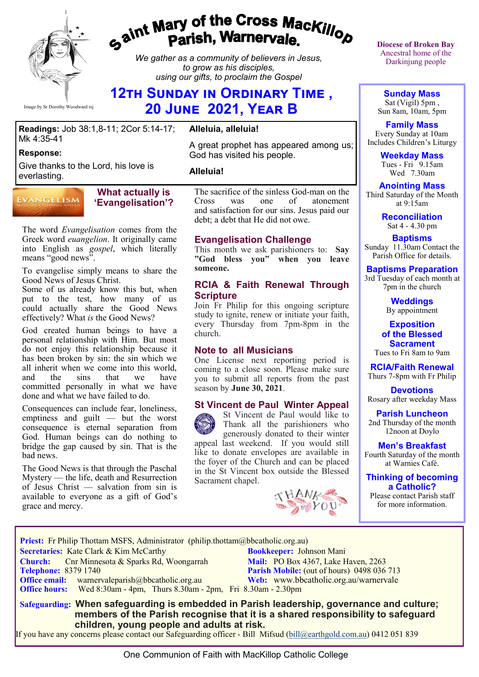

# gaint Mary of the Cross Mackillop<br>g<sup>aint</sup> Parish, Warnervale.

*We gather as a community of believers in Jesus, to grow as his disciples, using our gifts, to proclaim the Gospel*

# **12th Sunday in Ordinary Time , 20 June 2021, Year B**

#### **Readings:** Job 38:1,8-11; 2Cor 5:14-17; Mk 4:35-41

#### **Response:**

Give thanks to the Lord, his love is everlasting.

#### **EVANGELISM**

#### **What actually is 'Evangelisation'?**

The word *Evangelisation* comes from the Greek word *euangelion*. It originally came into English as *gospel*, which literally means "good news".

To evangelise simply means to share the Good News of Jesus Christ.

Some of us already know this but, when put to the test, how many of us could actually share the Good News effectively? What *is* the Good News?

God created human beings to have a personal relationship with Him. But most do not enjoy this relationship because it has been broken by sin: the sin which we all inherit when we come into this world,<br>and the sins that we have and the sins that we committed personally in what we have done and what we have failed to do.

Consequences can include fear, loneliness, emptiness and guilt — but the worst consequence is eternal separation from God. Human beings can do nothing to bridge the gap caused by sin. That is the bad news.

The Good News is that through the Paschal Mystery — the life, death and Resurrection of Jesus Christ — salvation from sin is available to everyone as a gift of God's grace and mercy.

# **Alleluia, alleluia!**

A great prophet has appeared among us; God has visited his people.

#### **Alleluia!**

The sacrifice of the sinless God-man on the<br>Cross was one of atonement Cross was one of atonement and satisfaction for our sins. Jesus paid our debt; a debt that He did not owe.

#### **Evangelisation Challenge**

This month we ask parishioners to: **Say "God bless you" when you leave someone.** 

#### **RCIA & Faith Renewal Through Scripture**

Join Fr Philip for this ongoing scripture study to ignite, renew or initiate your faith, every Thursday from 7pm-8pm in the church.

#### **Note to all Musicians**

One License next reporting period is coming to a close soon. Please make sure you to submit all reports from the past season by **June 30, 2021**.

# **St Vincent de Paul Winter Appeal**

St Vincent de Paul would like to Thank all the parishioners who generously donated to their winter appeal last weekend. If you would still like to donate envelopes are available in the foyer of the Church and can be placed in the St Vincent box outside the Blessed Sacrament chapel.



**Diocese of Broken Bay**  Ancestral home of the Darkinjung people

**Sunday Mass** Sat (Vigil) 5pm , Sun 8am, 10am, 5pm

**Family Mass**  Every Sunday at 10am Includes Children's Liturgy

> **Weekday Mass** Tues - Fri 9.15am Wed 7.30am

**Anointing Mass** Third Saturday of the Month at 9:15am

> **Reconciliation** Sat 4 - 4.30 pm

**Baptisms** Sunday 11.30am Contact the Parish Office for details.

**Baptisms Preparation** 3rd Tuesday of each month at 7pm in the church

> **Weddings**  By appointment

**Exposition of the Blessed Sacrament** Tues to Fri 8am to 9am

**RCIA/Faith Renewal**  Thurs 7-8pm with Fr Philip

**Devotions** Rosary after weekday Mass

**Parish Luncheon** 2nd Thursday of the month 12noon at Doylo

**Men's Breakfast** Fourth Saturday of the month at Warnies Café.

**Thinking of becoming a Catholic?**

Please contact Parish staff for more information.

**Priest:** Fr Philip Thottam MSFS, Administrator (philip.thottam@bbcatholic.org.au)

 **Secretaries:** Kate Clark & Kim McCarthy **Bookkeeper:** Johnson Mani

**Church:** Cnr Minnesota & Sparks Rd, Woongarrah **Mail:** PO Box 4367, Lake Haven, 2263<br> **Telephone:** 8379 1740 **Parish Mobile:** (out of hours) 0498 036 **Office email:** warnervaleparish@bbcatholic.org.au **Web:** [www.bbcatholic.org.au/warnervale](https://www.bbcatholic.org.au/warnervale)  **Office hours:** Wed 8:30am - 4pm, Thurs 8.30am - 2pm, Fri 8.30am - 2.30pm

**Parish Mobile:** (out of hours) 0498 036 713

 **Safeguarding: When safeguarding is embedded in Parish leadership, governance and culture; members of the Parish recognise that it is a shared responsibility to safeguard children, young people and adults at risk.**

If you have any concerns please contact our Safeguarding officer - Bill Mifsud ([bill@earthgold.com.au\)](mailto:bill@earthgold.com.au) 0412 051 839